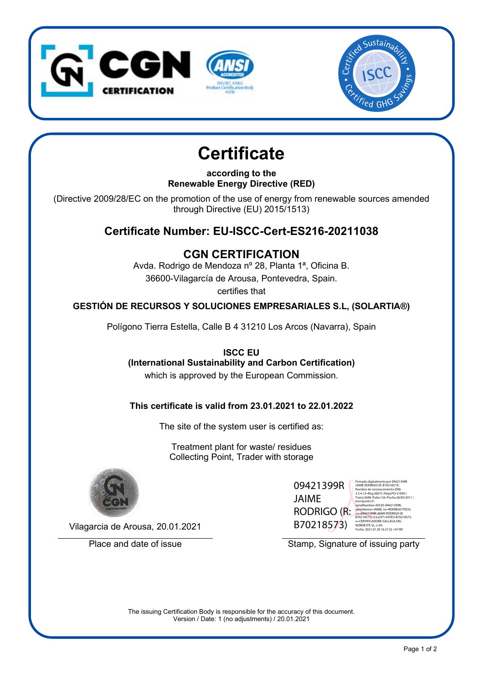



# **Certificate**

**according to the Renewable Energy Directive (RED)**

(Directive 2009/28/EC on the promotion of the use of energy from renewable sources amended through Directive (EU) 2015/1513)

## **Certificate Number: EU-ISCC-Cert-ES216-20211038**

## **CGN CERTIFICATION**

Avda. Rodrigo de Mendoza nº 28, Planta 1ª, Oficina B. 36600-Vilagarcía de Arousa, Pontevedra, Spain.

certifies that

#### **GESTIÓN DE RECURSOS Y SOLUCIONES EMPRESARIALES S.L, (SOLARTIA®)**

Polígono Tierra Estella, Calle B 4 31210 Los Arcos (Navarra), Spain

**ISCC EU (International Sustainability and Carbon Certification)** which is approved by the European Commission.

#### **This certificate is valid from 23.01.2021 to 22.01.2022**

The site of the system user is certified as:

Treatment plant for waste/ residues Collecting Point, Trader with storage



Vilagarcia de Arousa, 20.01.2021

09421399R JAIME RODRIGO (R: B70218573)

Firmado digitalmente por 09421399R JAIME RODRIGO (R: B70218573) Nombre de reconocimiento (DN): 2.5.4.13=Reg:36015 /Hoja:PO-51050 / Tomo:3698 /Folio:126 /Fecha:28/03/2011 / Inscripción:2ª,<br>serialNumber=IDCES-09421399R,<br>givenName=JAIME, sn=RODRIGO POCH,<br>cn=<mark>09421399RJA</mark>IME RODRIGO (R: B70218573), 2.5.4.97=VATES-B70218573, o=CERTIFICADORA GALLEGA DEL NOROESTE SL, c=ES Fecha: 2021.01.20 16:27:22 +01'00'

Place and date of issue Stamp, Signature of issuing party

The issuing Certification Body is responsible for the accuracy of this document. Version / Date: 1 (no adjustments) / 20.01.2021